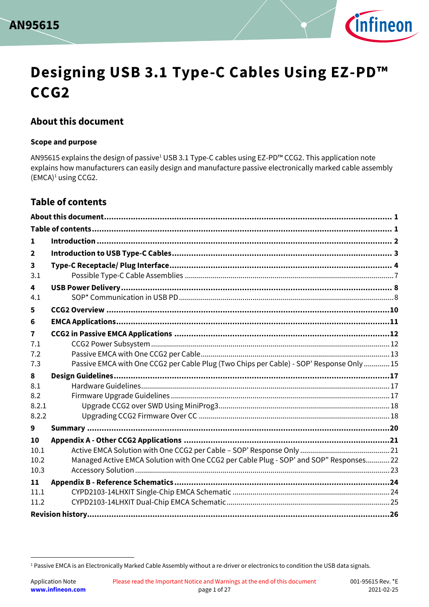



# **Designing USB 3.1 Type-C Cables Using EZ-PD™ CCG2**

## <span id="page-0-0"></span>**About this document**

#### **Scope and purpose**

AN95615 explains the design of passive<sup>1</sup> USB 3.1 Type-C cables using EZ-PD™ CCG2. This application note explains how manufacturers can easily design and manufacture passive electronically marked cable assembly (EMCA)<sup>1</sup> using CCG2.

## <span id="page-0-1"></span>**Table of contents**

l

| 1                       |                                                                                          |  |
|-------------------------|------------------------------------------------------------------------------------------|--|
| $\mathbf{2}$            |                                                                                          |  |
| 3<br>3.1                |                                                                                          |  |
| 4<br>4.1                |                                                                                          |  |
| 5                       |                                                                                          |  |
| 6                       |                                                                                          |  |
| $\overline{\mathbf{r}}$ |                                                                                          |  |
| 7.1<br>7.2<br>7.3       | Passive EMCA with One CCG2 per Cable Plug (Two Chips per Cable) - SOP' Response Only  15 |  |
| 8                       |                                                                                          |  |
| 8.1                     |                                                                                          |  |
| 8.2                     |                                                                                          |  |
| 8.2.1<br>8.2.2          |                                                                                          |  |
| 9                       |                                                                                          |  |
| 10                      |                                                                                          |  |
| 10.1<br>10.2            | Managed Active EMCA Solution with One CCG2 per Cable Plug - SOP' and SOP" Responses22    |  |
| 10.3                    |                                                                                          |  |
| 11                      |                                                                                          |  |
| 11.1<br>11.2            |                                                                                          |  |

<sup>&</sup>lt;sup>1</sup> Passive EMCA is an Electronically Marked Cable Assembly without a re-driver or electronics to condition the USB data signals.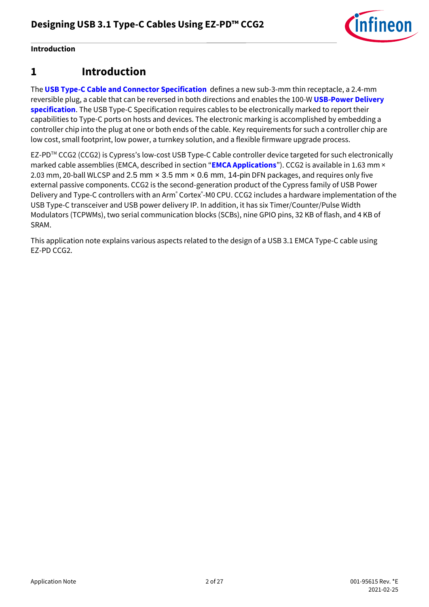

**Introduction**

## <span id="page-1-0"></span>**1 Introduction**

The **[USB Type-C Cable and Connector Specification](http://www.usb.org/developers/usbtypec/)** defines a new sub-3-mm thin receptacle, a 2.4-mm reversible plug, a cable that can be reversed in both directions and enables the 100-W **[USB-Power Delivery](http://www.usb.org/developers/powerdelivery/)  [specification](http://www.usb.org/developers/powerdelivery/)**. The USB Type-C Specification requires cables to be electronically marked to report their capabilities to Type-C ports on hosts and devices. The electronic marking is accomplished by embedding a controller chip into the plug at one or both ends of the cable. Key requirements for such a controller chip are low cost, small footprint, low power, a turnkey solution, and a flexible firmware upgrade process.

EZ-PDTM CCG2 (CCG2) is Cypress's low-cost USB Type-C Cable controller device targeted for such electronically marked cable assemblies (EMCA, described in section "**[EMCA Applications](#page-10-0)**"). CCG2 is available in 1.63 mm × 2.03 mm, 20-ball WLCSP and 2.5 mm × 3.5 mm × 0.6 mm, 14-pin DFN packages, and requires only five external passive components. CCG2 is the second-generation product of the Cypress family of USB Power Delivery and Type-C controllers with an Arm<sup>®</sup> Cortex®-M0 CPU. CCG2 includes a hardware implementation of the USB Type-C transceiver and USB power delivery IP. In addition, it has six Timer/Counter/Pulse Width Modulators (TCPWMs), two serial communication blocks (SCBs), nine GPIO pins, 32 KB of flash, and 4 KB of SRAM.

This application note explains various aspects related to the design of a USB 3.1 EMCA Type-C cable using EZ-PD CCG2.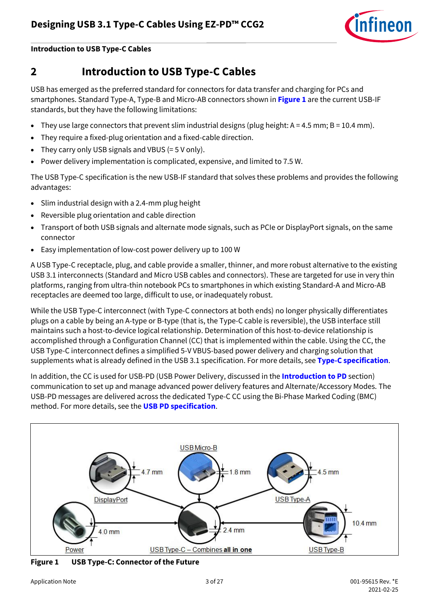

#### **Introduction to USB Type-C Cables**

## <span id="page-2-0"></span>**2 Introduction to USB Type-C Cables**

USB has emerged as the preferred standard for connectors for data transfer and charging for PCs and smartphones. Standard Type-A, Type-B and Micro-AB connectors shown in **[Figure 1](#page-2-1)** are the current USB-IF standards, but they have the following limitations:

- They use large connectors that prevent slim industrial designs (plug height:  $A = 4.5$  mm;  $B = 10.4$  mm).
- They require a fixed-plug orientation and a fixed-cable direction.
- They carry only USB signals and VBUS (= 5 V only).
- Power delivery implementation is complicated, expensive, and limited to 7.5 W.

The USB Type-C specification is the new USB-IF standard that solves these problems and provides the following advantages:

- Slim industrial design with a 2.4-mm plug height
- Reversible plug orientation and cable direction
- Transport of both USB signals and alternate mode signals, such as PCIe or DisplayPort signals, on the same connector
- Easy implementation of low-cost power delivery up to 100 W

A USB Type-C receptacle, plug, and cable provide a smaller, thinner, and more robust alternative to the existing USB 3.1 interconnects (Standard and Micro USB cables and connectors). These are targeted for use in very thin platforms, ranging from ultra-thin notebook PCs to smartphones in which existing Standard-A and Micro-AB receptacles are deemed too large, difficult to use, or inadequately robust.

While the USB Type-C interconnect (with Type-C connectors at both ends) no longer physically differentiates plugs on a cable by being an A-type or B-type (that is, the Type-C cable is reversible), the USB interface still maintains such a host-to-device logical relationship. Determination of this host-to-device relationship is accomplished through a Configuration Channel (CC) that is implemented within the cable. Using the CC, the USB Type-C interconnect defines a simplified 5-V VBUS-based power delivery and charging solution that supplements what is already defined in the USB 3.1 specification. For more details, see **[Type-C specification](http://www.usb.org/developers/usbtypec/)**.

In addition, the CC is used for USB-PD (USB Power Delivery, discussed in the **[Introduction to PD](#page-7-0)** section) communication to set up and manage advanced power delivery features and Alternate/Accessory Modes. The USB-PD messages are delivered across the dedicated Type-C CC using the Bi-Phase Marked Coding (BMC) method. For more details, see the **[USB PD specification](http://www.usb.org/developers/powerdelivery/)**.



<span id="page-2-1"></span>**Figure 1 USB Type-C: Connector of the Future**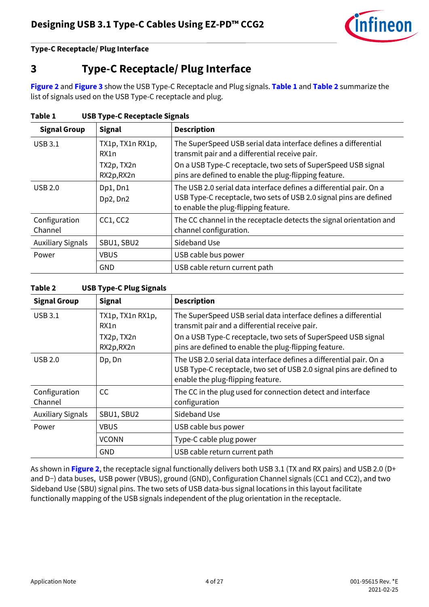

## <span id="page-3-0"></span>**3 Type-C Receptacle/ Plug Interface**

**[Figure 2](#page-4-0)** and **[Figure 3](#page-4-1)** show the USB Type-C Receptacle and Plug signals. **[Table 1](#page-3-1)** and **[Table 2](#page-3-2)** summarize the list of signals used on the USB Type-C receptacle and plug.

| <b>Signal Group</b>      | <b>Signal</b>            | <b>Description</b>                                                                                                                                                                |
|--------------------------|--------------------------|-----------------------------------------------------------------------------------------------------------------------------------------------------------------------------------|
| <b>USB 3.1</b>           | TX1p, TX1n RX1p,<br>RX1n | The SuperSpeed USB serial data interface defines a differential<br>transmit pair and a differential receive pair.                                                                 |
|                          | TX2p, TX2n<br>RX2p, RX2n | On a USB Type-C receptacle, two sets of SuperSpeed USB signal<br>pins are defined to enable the plug-flipping feature.                                                            |
| USB 2.0                  | Dp1, Dn1<br>Dp2, Dn2     | The USB 2.0 serial data interface defines a differential pair. On a<br>USB Type-C receptacle, two sets of USB 2.0 signal pins are defined<br>to enable the plug-flipping feature. |
| Configuration<br>Channel | CC1, CC2                 | The CC channel in the receptacle detects the signal orientation and<br>channel configuration.                                                                                     |
| <b>Auxiliary Signals</b> | SBU1, SBU2               | Sideband Use                                                                                                                                                                      |
| Power                    | <b>VBUS</b>              | USB cable bus power                                                                                                                                                               |
|                          | <b>GND</b>               | USB cable return current path                                                                                                                                                     |

<span id="page-3-1"></span>**Table 1 USB Type-C Receptacle Signals**

<span id="page-3-2"></span>**Table 2 USB Type-C Plug Signals**

| <b>Signal Group</b>      | <b>Signal</b>                                        | <b>Description</b>                                                                                                                                                                                                                          |
|--------------------------|------------------------------------------------------|---------------------------------------------------------------------------------------------------------------------------------------------------------------------------------------------------------------------------------------------|
| <b>USB 3.1</b>           | TX1p, TX1n RX1p,<br>RX1n<br>TX2p, TX2n<br>RX2p, RX2n | The SuperSpeed USB serial data interface defines a differential<br>transmit pair and a differential receive pair.<br>On a USB Type-C receptacle, two sets of SuperSpeed USB signal<br>pins are defined to enable the plug-flipping feature. |
| USB 2.0                  | Dp, Dn                                               | The USB 2.0 serial data interface defines a differential pair. On a<br>USB Type-C receptacle, two set of USB 2.0 signal pins are defined to<br>enable the plug-flipping feature.                                                            |
| Configuration<br>Channel | <sub>CC</sub>                                        | The CC in the plug used for connection detect and interface<br>configuration                                                                                                                                                                |
| <b>Auxiliary Signals</b> | SBU1, SBU2                                           | Sideband Use                                                                                                                                                                                                                                |
| Power                    | <b>VBUS</b>                                          | USB cable bus power                                                                                                                                                                                                                         |
|                          | <b>VCONN</b>                                         | Type-C cable plug power                                                                                                                                                                                                                     |
|                          | <b>GND</b>                                           | USB cable return current path                                                                                                                                                                                                               |

As shown in **[Figure 2](#page-4-0)**, the receptacle signal functionally delivers both USB 3.1 (TX and RX pairs) and USB 2.0 (D+ and D−) data buses, USB power (VBUS), ground (GND), Configuration Channel signals (CC1 and CC2), and two Sideband Use (SBU) signal pins. The two sets of USB data-bus signal locations in this layout facilitate functionally mapping of the USB signals independent of the plug orientation in the receptacle.

2021-02-25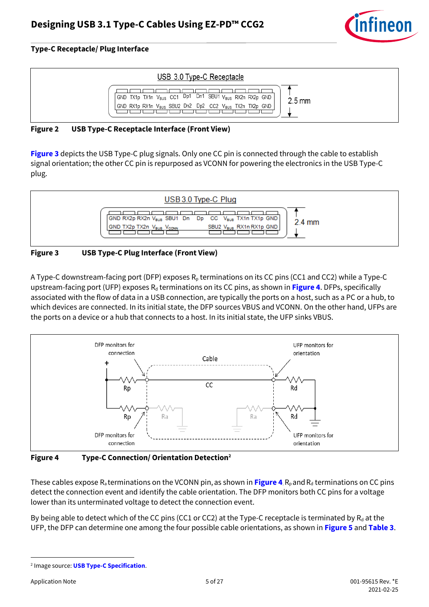

| USB 3.0 Type-C Receptacle                                                                                                                                        |                  |
|------------------------------------------------------------------------------------------------------------------------------------------------------------------|------------------|
| GND TX1p TX1n V <sub>BUS</sub> CC1 Dp1 Dn1 SBU1 V <sub>BUS</sub> RX2n RX2p GND<br>GND RX1p RX1n V <sub>BUS</sub> SBU2 Dn2 Dp2 CC2 V <sub>BUS</sub> TX2n TX2p GND | $2.5 \text{ mm}$ |

#### <span id="page-4-0"></span>**Figure 2 USB Type-C Receptacle Interface (Front View)**

**[Figure 3](#page-4-1)** depicts the USB Type-C plug signals. Only one CC pin is connected through the cable to establish signal orientation; the other CC pin is repurposed as VCONN for powering the electronics in the USB Type-C plug.



#### <span id="page-4-1"></span>**Figure 3 USB Type-C Plug Interface (Front View)**

A Type-C downstream-facing port (DFP) exposes  $R_p$  terminations on its CC pins (CC1 and CC2) while a Type-C upstream-facing port (UFP) exposes R<sub>d</sub> terminations on its CC pins, as shown in [Figure 4](#page-4-2). DFPs, specifically associated with the flow of data in a USB connection, are typically the ports on a host, such as a PC or a hub, to which devices are connected. In its initial state, the DFP sources VBUS and VCONN. On the other hand, UFPs are the ports on a device or a hub that connects to a host. In its initial state, the UFP sinks VBUS.



<span id="page-4-2"></span>**Figure 4 Type-C Connection/ Orientation Detection<sup>2</sup>**

These cables expose  $R_a$  terminations on the VCONN pin, as shown in **[Figure 4](#page-4-2)**.  $R_p$  and  $R_d$  terminations on CC pins detect the connection event and identify the cable orientation. The DFP monitors both CC pins for a voltage lower than its unterminated voltage to detect the connection event.

By being able to detect which of the CC pins (CC1 or CC2) at the Type-C receptacle is terminated by  $R_d$  at the UFP, the DFP can determine one among the four possible cable orientations, as shown in **[Figure 5](#page-5-0)** and **[Table 3](#page-5-1)**.

l

<sup>2</sup> Image source: **[USB Type-C Specification](http://www.usb.org/developers/usbtypec/)**.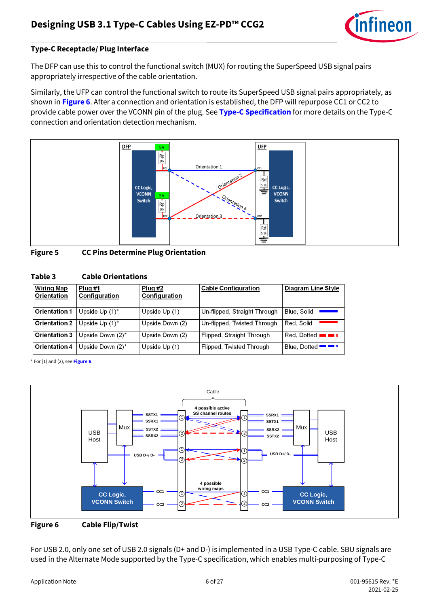

The DFP can use this to control the functional switch (MUX) for routing the SuperSpeed USB signal pairs appropriately irrespective of the cable orientation.

Similarly, the UFP can control the functional switch to route its SuperSpeed USB signal pairs appropriately, as shown in **[Figure 6](#page-5-2)**. After a connection and orientation is established, the DFP will repurpose CC1 or CC2 to provide cable power over the VCONN pin of the plug. See **[Type-C Specification](http://www.usb.org/developers/usbtypec/)** for more details on the Type-C connection and orientation detection mechanism.



<span id="page-5-0"></span>**Figure 5 CC Pins Determine Plug Orientation**

<span id="page-5-1"></span>

| Table 3 | <b>Cable Orientations</b> |
|---------|---------------------------|
|---------|---------------------------|

| <b>Wiring Map</b><br><b>Orientation</b> | Plug#1<br>Configuration | Plug #2<br>Configuration | <b>Cable Configuration</b>   | <b>Diagram Line Style</b>    |
|-----------------------------------------|-------------------------|--------------------------|------------------------------|------------------------------|
| Orientation 1                           | Upside Up $(1)^*$       | Upside Up (1)            | Un-flipped, Straight Through | Blue, Solid                  |
| Orientation 2                           | Upside Up $(1)^*$       | Upside Down (2)          | Un-flipped, Twisted Through  | Red. Solid                   |
| Orientation 3                           | Upside Down $(2)^*$     | Upside Down (2)          | Flipped, Straight Through    | $Red.$ Dotted $\blacksquare$ |
| Orientation 4                           | Upside Down $(2)^*$     | Upside Up (1)            | Flipped, Twisted Through     | Blue, Dotted $\blacksquare$  |

\* For (1) and (2), see **[Figure 6](#page-5-2)**.



<span id="page-5-2"></span>

For USB 2.0, only one set of USB 2.0 signals (D+ and D-) is implemented in a USB Type-C cable. SBU signals are used in the Alternate Mode supported by the Type-C specification, which enables multi-purposing of Type-C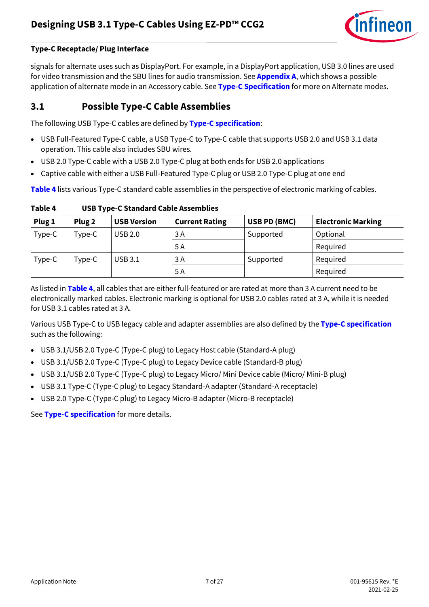

signals for alternate uses such as DisplayPort. For example, in a DisplayPort application, USB 3.0 lines are used for video transmission and the SBU lines for audio transmission. See **[Appendix A](#page-20-0)**, which shows a possible application of alternate mode in an Accessory cable. See **[Type-C Specification](http://www.usb.org/developers/usbtypec/)** for more on Alternate modes.

### <span id="page-6-0"></span>**3.1 Possible Type-C Cable Assemblies**

The following USB Type-C cables are defined by **[Type-C specification](http://www.usb.org/developers/usbtypec/)**:

- USB Full-Featured Type-C cable, a USB Type-C to Type-C cable that supports USB 2.0 and USB 3.1 data operation. This cable also includes SBU wires.
- USB 2.0 Type-C cable with a USB 2.0 Type-C plug at both ends for USB 2.0 applications
- Captive cable with either a USB Full-Featured Type-C plug or USB 2.0 Type-C plug at one end

**[Table 4](#page-6-1)** lists various Type-C standard cable assemblies in the perspective of electronic marking of cables.

| Plug 1 | Plug <sub>2</sub> | <b>USB Version</b> | <b>Current Rating</b> | USB PD (BMC) | <b>Electronic Marking</b> |
|--------|-------------------|--------------------|-----------------------|--------------|---------------------------|
| Type-C | Type-C            | <b>USB 2.0</b>     | 3 A                   | Supported    | Optional                  |
|        |                   |                    | 5 A                   |              | Required                  |
| Type-C | Type-C            | USB 3.1            | 3A                    | Supported    | Required                  |
|        |                   |                    | 5 A                   |              | Required                  |

<span id="page-6-1"></span>

| Table 4 | <b>USB Type-C Standard Cable Assemblies</b> |
|---------|---------------------------------------------|
|---------|---------------------------------------------|

As listed in **[Table 4](#page-6-1)**, all cables that are either full-featured or are rated at more than 3 A current need to be electronically marked cables. Electronic marking is optional for USB 2.0 cables rated at 3 A, while it is needed for USB 3.1 cables rated at 3 A.

Various USB Type-C to USB legacy cable and adapter assemblies are also defined by the **[Type-C specification](http://www.usb.org/developers/usbtypec/)** such as the following:

- USB 3.1/USB 2.0 Type-C (Type-C plug) to Legacy Host cable (Standard-A plug)
- USB 3.1/USB 2.0 Type-C (Type-C plug) to Legacy Device cable (Standard-B plug)
- USB 3.1/USB 2.0 Type-C (Type-C plug) to Legacy Micro/ Mini Device cable (Micro/ Mini-B plug)
- USB 3.1 Type-C (Type-C plug) to Legacy Standard-A adapter (Standard-A receptacle)
- USB 2.0 Type-C (Type-C plug) to Legacy Micro-B adapter (Micro-B receptacle)

See **[Type-C specification](http://www.usb.org/developers/usbtypec/)** for more details.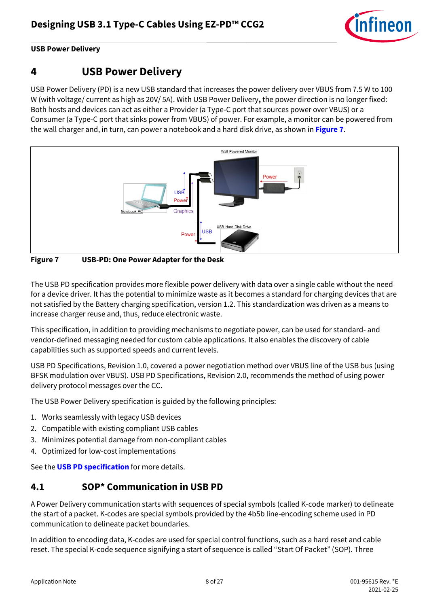

#### **USB Power Delivery**

## <span id="page-7-0"></span>**4 USB Power Delivery**

USB Power Delivery (PD) is a new USB standard that increases the power delivery over VBUS from 7.5 W to 100 W (with voltage/ current as high as 20V/ 5A). With USB Power Delivery**,** the power direction is no longer fixed: Both hosts and devices can act as either a Provider (a Type-C port that sources power over VBUS) or a Consumer (a Type-C port that sinks power from VBUS) of power. For example, a monitor can be powered from the wall charger and, in turn, can power a notebook and a hard disk drive, as shown in **[Figure 7](#page-7-2)**.



<span id="page-7-2"></span>**Figure 7 USB-PD: One Power Adapter for the Desk**

The USB PD specification provides more flexible power delivery with data over a single cable without the need for a device driver. It has the potential to minimize waste as it becomes a standard for charging devices that are not satisfied by the Battery charging specification, version 1.2. This standardization was driven as a means to increase charger reuse and, thus, reduce electronic waste.

This specification, in addition to providing mechanisms to negotiate power, can be used for standard- and vendor-defined messaging needed for custom cable applications. It also enables the discovery of cable capabilities such as supported speeds and current levels.

USB PD Specifications, Revision 1.0, covered a power negotiation method over VBUS line of the USB bus (using BFSK modulation over VBUS). USB PD Specifications, Revision 2.0, recommends the method of using power delivery protocol messages over the CC.

The USB Power Delivery specification is guided by the following principles:

- 1. Works seamlessly with legacy USB devices
- 2. Compatible with existing compliant USB cables
- 3. Minimizes potential damage from non-compliant cables
- 4. Optimized for low-cost implementations

See the **[USB PD specification](http://www.usb.org/developers/powerdelivery/)** for more details.

### <span id="page-7-1"></span>**4.1 SOP\* Communication in USB PD**

A Power Delivery communication starts with sequences of special symbols (called K-code marker) to delineate the start of a packet. K-codes are special symbols provided by the 4b5b line-encoding scheme used in PD communication to delineate packet boundaries.

In addition to encoding data, K-codes are used for special control functions, such as a hard reset and cable reset. The special K-code sequence signifying a start of sequence is called "Start Of Packet" (SOP). Three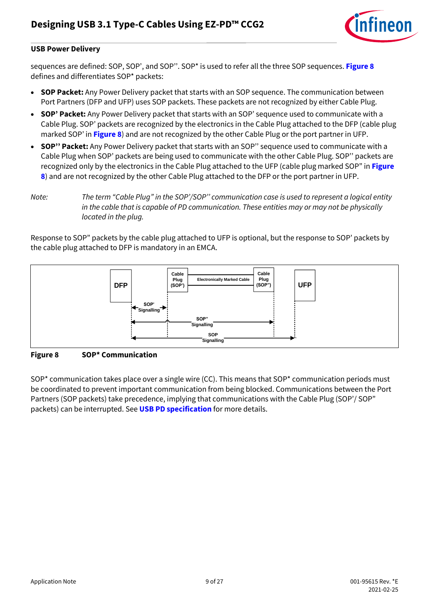

#### **USB Power Delivery**

sequences are defined: SOP, SOP', and SOP''. SOP\* is used to refer all the three SOP sequences. **[Figure 8](#page-8-0)** defines and differentiates SOP\* packets:

- **SOP Packet:** Any Power Delivery packet that starts with an SOP sequence. The communication between Port Partners (DFP and UFP) uses SOP packets. These packets are not recognized by either Cable Plug.
- **SOP' Packet:** Any Power Delivery packet that starts with an SOP' sequence used to communicate with a Cable Plug. SOP' packets are recognized by the electronics in the Cable Plug attached to the DFP (cable plug marked SOP' in **[Figure 8](#page-8-0)**) and are not recognized by the other Cable Plug or the port partner in UFP.
- **SOP'' Packet:** Any Power Delivery packet that starts with an SOP'' sequence used to communicate with a Cable Plug when SOP' packets are being used to communicate with the other Cable Plug. SOP'' packets are recognized only by the electronics in the Cable Plug attached to the UFP (cable plug marked SOP" in **[Figure](#page-8-0)  [8](#page-8-0)**) and are not recognized by the other Cable Plug attached to the DFP or the port partner in UFP.

*Note: The term "Cable Plug" in the SOP'/SOP'' communication case is used to represent a logical entity in the cable that is capable of PD communication. These entities may or may not be physically located in the plug.*

Response to SOP" packets by the cable plug attached to UFP is optional, but the response to SOP' packets by the cable plug attached to DFP is mandatory in an EMCA.



<span id="page-8-0"></span>**Figure 8 SOP\* Communication**

SOP\* communication takes place over a single wire (CC). This means that SOP\* communication periods must be coordinated to prevent important communication from being blocked. Communications between the Port Partners (SOP packets) take precedence, implying that communications with the Cable Plug (SOP'/ SOP" packets) can be interrupted. See **[USB PD specification](http://www.usb.org/developers/powerdelivery/)** for more details.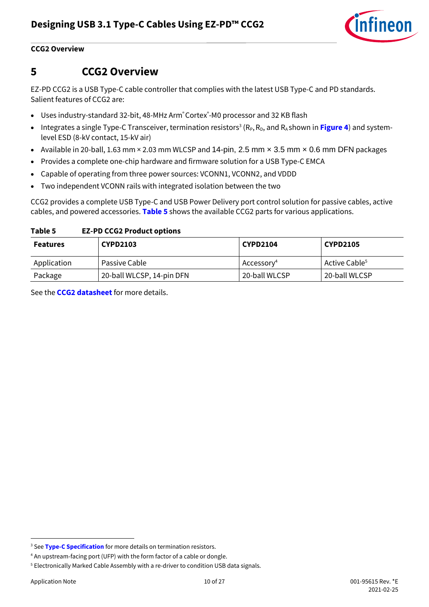

#### **CCG2 Overview**

## <span id="page-9-0"></span>**5 CCG2 Overview**

EZ-PD CCG2 is a USB Type-C cable controller that complies with the latest USB Type-C and PD standards. Salient features of CCG2 are:

- Uses industry-standard 32-bit, 48-MHz Arm®Cortex® -M0 processor and 32 KB flash
- Integrates a single Type-C Transceiver, termination resistors<sup>3</sup> (R<sub>P</sub>, R<sub>D</sub>, and R<sub>A</sub> shown in **[Figure 4](#page-4-2)**) and systemlevel ESD (8-kV contact, 15-kV air)
- Available in 20-ball, 1.63 mm × 2.03 mm WLCSP and 14-pin, 2.5 mm x 3.5 mm x 0.6 mm DFN packages
- Provides a complete one-chip hardware and firmware solution for a USB Type-C EMCA
- Capable of operating from three power sources: VCONN1, VCONN2, and VDDD
- Two independent VCONN rails with integrated isolation between the two

CCG2 provides a complete USB Type-C and USB Power Delivery port control solution for passive cables, active cables, and powered accessories. **[Table 5](#page-9-1)** shows the available CCG2 parts for various applications.

#### <span id="page-9-1"></span>**Table 5 EZ-PD CCG2 Product options**

| <b>Features</b> | <b>CYPD2103</b>           | <b>CYPD2104</b>        | <b>CYPD2105</b>           |
|-----------------|---------------------------|------------------------|---------------------------|
| Application     | Passive Cable             | Accessory <sup>4</sup> | Active Cable <sup>5</sup> |
| Package         | 20-ball WLCSP, 14-pin DFN | 20-ball WLCSP          | 20-ball WLCSP             |

See the **[CCG2 datasheet](http://www.cypress.com/?rID=108632)** for more details.

l

<sup>&</sup>lt;sup>3</sup> See **[Type-C Specification](http://www.usb.org/developers/usbtypec/)** for more details on termination resistors.

<sup>4</sup> An upstream-facing port (UFP) with the form factor of a cable or dongle.

<sup>5</sup> Electronically Marked Cable Assembly with a re-driver to condition USB data signals.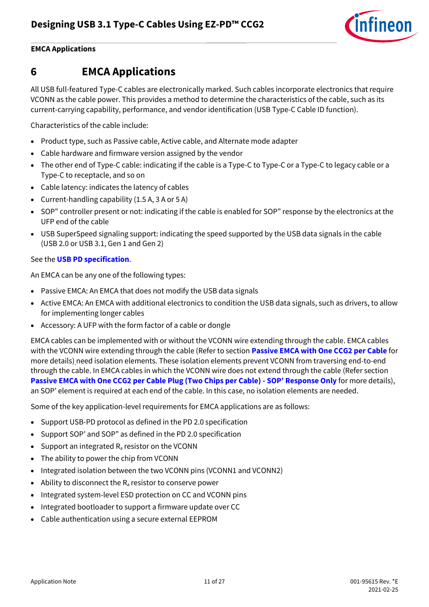

#### **EMCA Applications**

## <span id="page-10-0"></span>**6 EMCA Applications**

All USB full-featured Type-C cables are electronically marked. Such cables incorporate electronics that require VCONN as the cable power. This provides a method to determine the characteristics of the cable, such as its current-carrying capability, performance, and vendor identification (USB Type-C Cable ID function).

Characteristics of the cable include:

- Product type, such as Passive cable, Active cable, and Alternate mode adapter
- Cable hardware and firmware version assigned by the vendor
- The other end of Type-C cable: indicating if the cable is a Type-C to Type-C or a Type-C to legacy cable or a Type-C to receptacle, and so on
- Cable latency: indicates the latency of cables
- Current-handling capability (1.5 A, 3 A or 5 A)
- SOP" controller present or not: indicating if the cable is enabled for SOP" response by the electronics at the UFP end of the cable
- USB SuperSpeed signaling support: indicating the speed supported by the USB data signals in the cable (USB 2.0 or USB 3.1, Gen 1 and Gen 2)

#### See the **[USB PD specification](http://www.usb.org/developers/powerdelivery/)**.

An EMCA can be any one of the following types:

- Passive EMCA: An EMCA that does not modify the USB data signals
- Active EMCA: An EMCA with additional electronics to condition the USB data signals, such as drivers, to allow for implementing longer cables
- Accessory: A UFP with the form factor of a cable or dongle

EMCA cables can be implemented with or without the VCONN wire extending through the cable. EMCA cables with the VCONN wire extending through the cable (Refer to section **[Passive EMCA with One CCG2 per Cable](#page-12-0)** for more details) need isolation elements. These isolation elements prevent VCONN from traversing end-to-end through the cable. In EMCA cables in which the VCONN wire does not extend through the cable (Refer section **[Passive EMCA with One CCG2 per Cable](#page-14-0) Plug (Two Chips per Cable) - SOP' Response Only** for more details), an SOP' element is required at each end of the cable. In this case, no isolation elements are needed.

Some of the key application-level requirements for EMCA applications are as follows:

- Support USB-PD protocol as defined in the PD 2.0 specification
- Support SOP' and SOP" as defined in the PD 2.0 specification
- Support an integrated  $R_a$  resistor on the VCONN
- The ability to power the chip from VCONN
- Integrated isolation between the two VCONN pins (VCONN1 and VCONN2)
- Ability to disconnect the  $R_a$  resistor to conserve power
- Integrated system-level ESD protection on CC and VCONN pins
- Integrated bootloader to support a firmware update over CC
- Cable authentication using a secure external EEPROM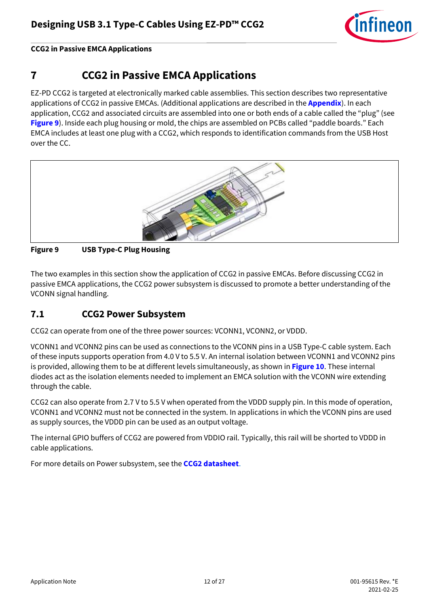

## <span id="page-11-0"></span>**7 CCG2 in Passive EMCA Applications**

EZ-PD CCG2 is targeted at electronically marked cable assemblies. This section describes two representative applications of CCG2 in passive EMCAs. (Additional applications are described in the **[Appendix](#page-20-0)**). In each application, CCG2 and associated circuits are assembled into one or both ends of a cable called the "plug" (see **[Figure 9](#page-11-2)**). Inside each plug housing or mold, the chips are assembled on PCBs called "paddle boards." Each EMCA includes at least one plug with a CCG2, which responds to identification commands from the USB Host over the CC.



#### <span id="page-11-2"></span>**Figure 9 USB Type-C Plug Housing**

The two examples in this section show the application of CCG2 in passive EMCAs. Before discussing CCG2 in passive EMCA applications, the CCG2 power subsystem is discussed to promote a better understanding of the VCONN signal handling.

### <span id="page-11-1"></span>**7.1 CCG2 Power Subsystem**

CCG2 can operate from one of the three power sources: VCONN1, VCONN2, or VDDD.

VCONN1 and VCONN2 pins can be used as connections to the VCONN pins in a USB Type-C cable system. Each of these inputs supports operation from 4.0 V to 5.5 V. An internal isolation between VCONN1 and VCONN2 pins is provided, allowing them to be at different levels simultaneously, as shown in **[Figure 10](#page-12-1)**. These internal diodes act as the isolation elements needed to implement an EMCA solution with the VCONN wire extending through the cable.

CCG2 can also operate from 2.7 V to 5.5 V when operated from the VDDD supply pin. In this mode of operation, VCONN1 and VCONN2 must not be connected in the system. In applications in which the VCONN pins are used as supply sources, the VDDD pin can be used as an output voltage.

The internal GPIO buffers of CCG2 are powered from VDDIO rail. Typically, this rail will be shorted to VDDD in cable applications.

For more details on Power subsystem, see the **[CCG2 datasheet](http://www.cypress.com/?rID=108632)**.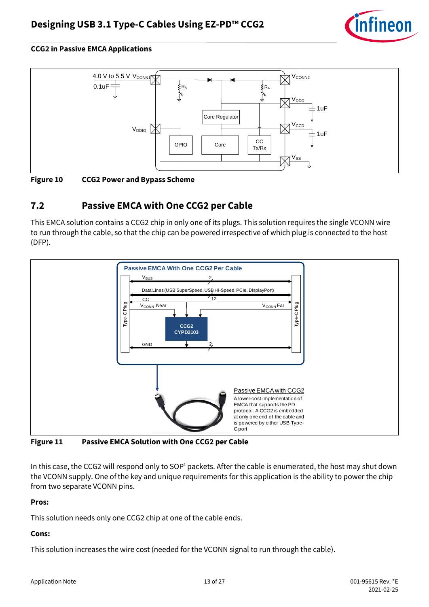



<span id="page-12-1"></span>**Figure 10 CCG2 Power and Bypass Scheme**

## <span id="page-12-0"></span>**7.2 Passive EMCA with One CCG2 per Cable**

This EMCA solution contains a CCG2 chip in only one of its plugs. This solution requires the single VCONN wire to run through the cable, so that the chip can be powered irrespective of which plug is connected to the host (DFP).



<span id="page-12-2"></span>**Figure 11 Passive EMCA Solution with One CCG2 per Cable**

In this case, the CCG2 will respond only to SOP' packets. After the cable is enumerated, the host may shut down the VCONN supply. One of the key and unique requirements for this application is the ability to power the chip from two separate VCONN pins.

#### **Pros:**

This solution needs only one CCG2 chip at one of the cable ends.

### **Cons:**

This solution increases the wire cost (needed for the VCONN signal to run through the cable).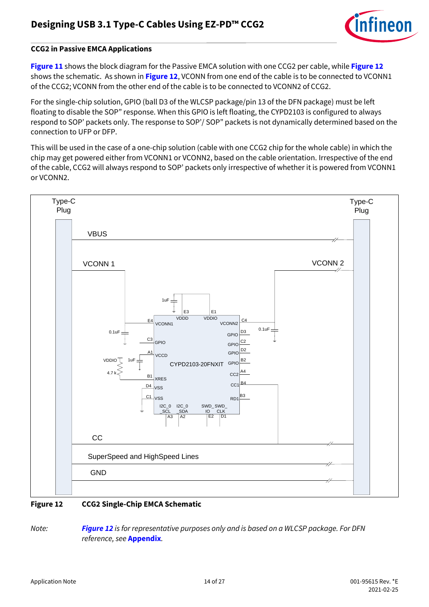

**[Figure 11](#page-12-2)** shows the block diagram for the Passive EMCA solution with one CCG2 per cable, while **[Figure 12](#page-13-0)** shows the schematic. As shown in **[Figure 12](#page-13-0)**, VCONN from one end of the cable is to be connected to VCONN1 of the CCG2; VCONN from the other end of the cable is to be connected to VCONN2 of CCG2.

For the single-chip solution, GPIO (ball D3 of the WLCSP package/pin 13 of the DFN package) must be left floating to disable the SOP" response. When this GPIO is left floating, the CYPD2103 is configured to always respond to SOP' packets only. The response to SOP'/ SOP" packets is not dynamically determined based on the connection to UFP or DFP.

This will be used in the case of a one-chip solution (cable with one CCG2 chip for the whole cable) in which the chip may get powered either from VCONN1 or VCONN2, based on the cable orientation. Irrespective of the end of the cable, CCG2 will always respond to SOP' packets only irrespective of whether it is powered from VCONN1 or VCONN2.



#### <span id="page-13-0"></span>**Figure 12 CCG2 Single-Chip EMCA Schematic**

*Note: [Figure 12](#page-13-0) is for representative purposes only and is based on a WLCSP package. For DFN reference, see* **[Appendix](#page-23-1)***.*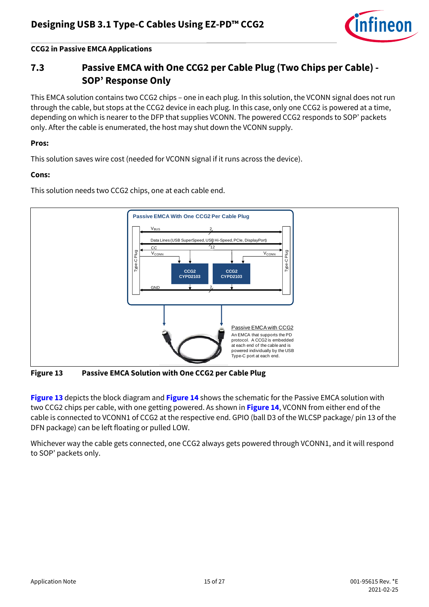

## <span id="page-14-0"></span>**7.3 Passive EMCA with One CCG2 per Cable Plug (Two Chips per Cable) - SOP' Response Only**

This EMCA solution contains two CCG2 chips – one in each plug. In this solution, the VCONN signal does not run through the cable, but stops at the CCG2 device in each plug. In this case, only one CCG2 is powered at a time, depending on which is nearer to the DFP that supplies VCONN. The powered CCG2 responds to SOP' packets only. After the cable is enumerated, the host may shut down the VCONN supply.

#### **Pros:**

This solution saves wire cost (needed for VCONN signal if it runs across the device).

#### **Cons:**

This solution needs two CCG2 chips, one at each cable end.



<span id="page-14-1"></span>**Figure 13 Passive EMCA Solution with One CCG2 per Cable Plug**

**[Figure 13](#page-14-1)** depicts the block diagram and **[Figure 14](#page-15-0)** shows the schematic for the Passive EMCA solution with two CCG2 chips per cable, with one getting powered. As shown in **[Figure 14](#page-15-0)**, VCONN from either end of the cable is connected to VCONN1 of CCG2 at the respective end. GPIO (ball D3 of the WLCSP package/ pin 13 of the DFN package) can be left floating or pulled LOW.

Whichever way the cable gets connected, one CCG2 always gets powered through VCONN1, and it will respond to SOP' packets only.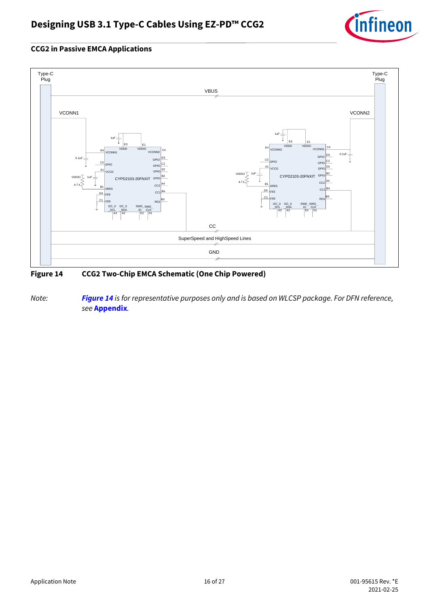



### <span id="page-15-0"></span>**Figure 14 CCG2 Two-Chip EMCA Schematic (One Chip Powered)**

*Note: [Figure 14](#page-15-0) is for representative purposes only and is based on WLCSP package. For DFN reference, see* **[Appendix](#page-24-0)***.*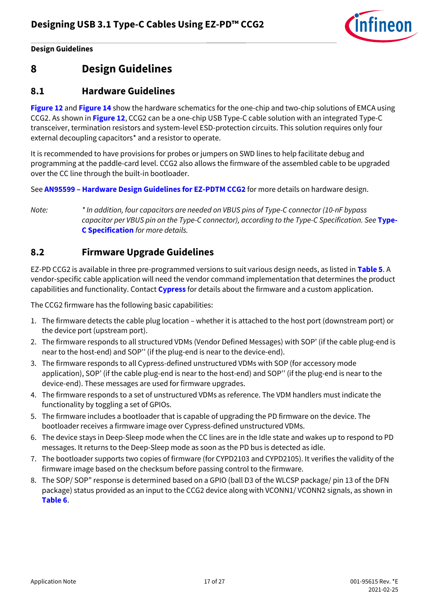

**Design Guidelines**

## <span id="page-16-0"></span>**8 Design Guidelines**

### <span id="page-16-1"></span>**8.1 Hardware Guidelines**

**[Figure 12](#page-13-0)** and **[Figure 14](#page-15-0)** show the hardware schematics for the one-chip and two-chip solutions of EMCA using CCG2. As shown in **[Figure 12](#page-13-0)**, CCG2 can be a one-chip USB Type-C cable solution with an integrated Type-C transceiver, termination resistors and system-level ESD-protection circuits. This solution requires only four external decoupling capacitors\* and a resistor to operate.

It is recommended to have provisions for probes or jumpers on SWD lines to help facilitate debug and programming at the paddle-card level. CCG2 also allows the firmware of the assembled cable to be upgraded over the CC line through the built-in bootloader.

See **AN95599 – [Hardware Design Guidelines for EZ-PDTM CCG2](http://www.cypress.com/?rID=108629)** for more details on hardware design.

*Note: \* In addition, four capacitors are needed on VBUS pins of Type-C connector (10-nF bypass capacitor per VBUS pin on the Type-C connector), according to the Type-C Specification. See* **[Type-](http://www.usb.org/developers/usbtypec/)[C Specification](http://www.usb.org/developers/usbtypec/)** *for more details.*

### <span id="page-16-2"></span>**8.2 Firmware Upgrade Guidelines**

EZ-PD CCG2 is available in three pre-programmed versions to suit various design needs, as listed in **[Table 5](#page-9-1)**. A vendor-specific cable application will need the vendor command implementation that determines the product capabilities and functionality. Contact **[Cypress](mailto:ccg2@cypress.com)** for details about the firmware and a custom application.

The CCG2 firmware has the following basic capabilities:

- 1. The firmware detects the cable plug location whether it is attached to the host port (downstream port) or the device port (upstream port).
- 2. The firmware responds to all structured VDMs (Vendor Defined Messages) with SOP' (if the cable plug-end is near to the host-end) and SOP'' (if the plug-end is near to the device-end).
- 3. The firmware responds to all Cypress-defined unstructured VDMs with SOP (for accessory mode application), SOP' (if the cable plug-end is near to the host-end) and SOP'' (if the plug-end is near to the device-end). These messages are used for firmware upgrades.
- 4. The firmware responds to a set of unstructured VDMs as reference. The VDM handlers must indicate the functionality by toggling a set of GPIOs.
- 5. The firmware includes a bootloader that is capable of upgrading the PD firmware on the device. The bootloader receives a firmware image over Cypress-defined unstructured VDMs.
- 6. The device stays in Deep-Sleep mode when the CC lines are in the Idle state and wakes up to respond to PD messages. It returns to the Deep-Sleep mode as soon as the PD bus is detected as idle.
- 7. The bootloader supports two copies of firmware (for CYPD2103 and CYPD2105). It verifies the validity of the firmware image based on the checksum before passing control to the firmware.
- 8. The SOP/ SOP" response is determined based on a GPIO (ball D3 of the WLCSP package/ pin 13 of the DFN package) status provided as an input to the CCG2 device along with VCONN1/ VCONN2 signals, as shown in **[Table 6](#page-17-2)**.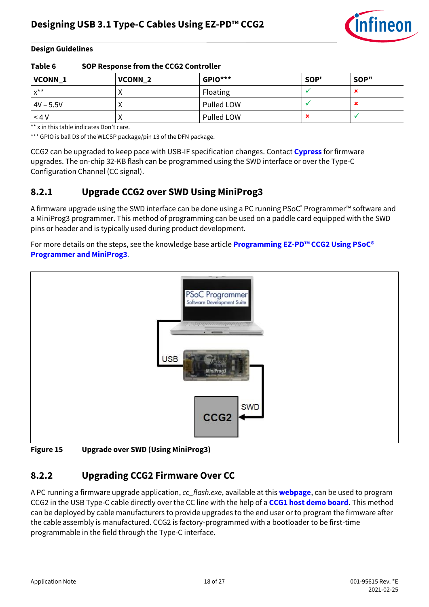

#### **Design Guidelines**

<span id="page-17-2"></span>

| Table 6            | SOP Response from the CCG2 Controller |                |      |      |
|--------------------|---------------------------------------|----------------|------|------|
| VCONN <sub>1</sub> | VCONN <sub>2</sub>                    | <b>GPIO***</b> | SOP' | SOP" |
| $x^{\star\star}$   |                                       | Floating       |      | ×    |
| $4V - 5.5V$        |                                       | Pulled LOW     |      | ×    |
| $<$ 4 V            |                                       | Pulled LOW     |      |      |

\*\* x in this table indicates Don't care.

\*\*\* GPIO is ball D3 of the WLCSP package/pin 13 of the DFN package.

CCG2 can be upgraded to keep pace with USB-IF specification changes. Contact **[Cypress](mailto:ccg2@cypress.com)** for firmware upgrades. The on-chip 32-KB flash can be programmed using the SWD interface or over the Type-C Configuration Channel (CC signal).

### <span id="page-17-0"></span>**8.2.1 Upgrade CCG2 over SWD Using MiniProg3**

A firmware upgrade using the SWD interface can be done using a PC running PSoC® Programmer™ software and a MiniProg3 programmer. This method of programming can be used on a paddle card equipped with the SWD pins or header and is typically used during product development.

For more details on the steps, see the knowledge base article **[Programming EZ-PD](http://www.cypress.com/?rID=108623)™ CCG2 Using PSoC® [Programmer and MiniProg3](http://www.cypress.com/?rID=108623)**.



**Figure 15 Upgrade over SWD (Using MiniProg3)**

### <span id="page-17-1"></span>**8.2.2 Upgrading CCG2 Firmware Over CC**

A PC running a firmware upgrade application, *cc\_flash.exe*, available at this **[webpage](http://www.cypress.com/?rID=108746)**, can be used to program CCG2 in the USB Type-C cable directly over the CC line with the help of a **[CCG1 host demo board](http://www.cypress.com/?rID=110373)**. This method can be deployed by cable manufacturers to provide upgrades to the end user or to program the firmware after the cable assembly is manufactured. CCG2 is factory-programmed with a bootloader to be first-time programmable in the field through the Type-C interface.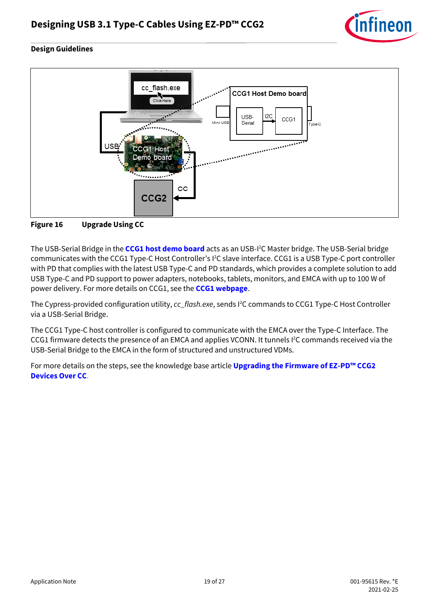

#### **Design Guidelines**



**Figure 16 Upgrade Using CC**

The USB-Serial Bridge in the **[CCG1 host demo board](http://www.cypress.com/?rID=110373)** acts as an USB-I <sup>2</sup>C Master bridge. The USB-Serial bridge communicates with the CCG1 Type-C Host Controller's I<sup>2</sup>C slave interface. CCG1 is a USB Type-C port controller with PD that complies with the latest USB Type-C and PD standards, which provides a complete solution to add USB Type-C and PD support to power adapters, notebooks, tablets, monitors, and EMCA with up to 100 W of power delivery. For more details on CCG1, see the **[CCG1 webpage](http://www.cypress.com/CCG1/)**.

The Cypress-provided configuration utility, *cc\_flash.exe*, sends I<sup>2</sup>C commands to CCG1 Type-C Host Controller via a USB-Serial Bridge.

The CCG1 Type-C host controller is configured to communicate with the EMCA over the Type-C Interface. The CCG1 firmware detects the presence of an EMCA and applies VCONN. It tunnels I<sup>2</sup>C commands received via the USB-Serial Bridge to the EMCA in the form of structured and unstructured VDMs.

For more details on the steps, see the knowledge base article **[Upgrading the Firmware of EZ-](http://www.cypress.com/?rID=108628)PD™ CCG2 [Devices Over CC](http://www.cypress.com/?rID=108628)**.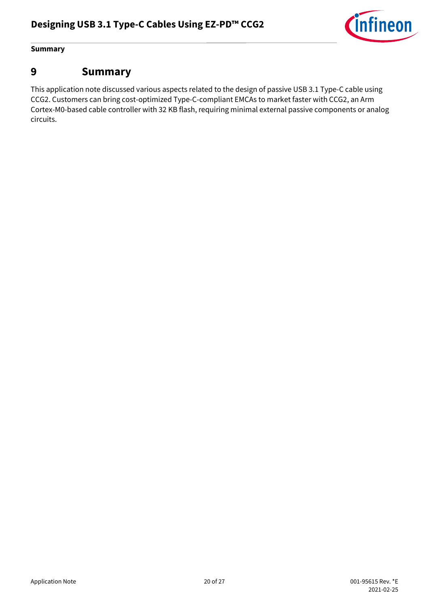

#### **Summary**

## <span id="page-19-0"></span>**9 Summary**

This application note discussed various aspects related to the design of passive USB 3.1 Type-C cable using CCG2. Customers can bring cost-optimized Type-C-compliant EMCAs to market faster with CCG2, an Arm Cortex-M0-based cable controller with 32 KB flash, requiring minimal external passive components or analog circuits.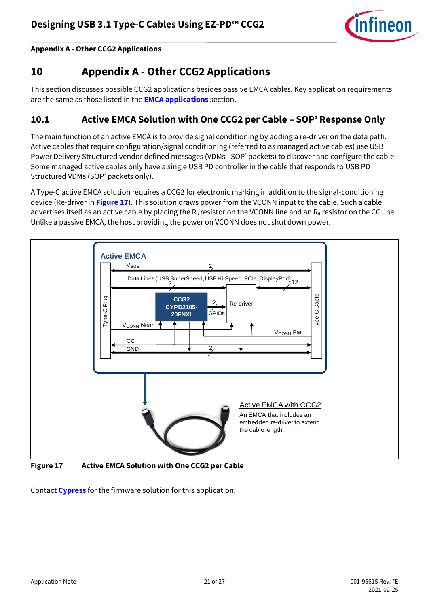

**Appendix A - Other CCG2 Applications**

## <span id="page-20-0"></span>**10 Appendix A - Other CCG2 Applications**

This section discusses possible CCG2 applications besides passive EMCA cables. Key application requirements are the same as those listed in the **[EMCA applications](#page-10-0)** section.

### <span id="page-20-1"></span>**10.1 Active EMCA Solution with One CCG2 per Cable – SOP' Response Only**

The main function of an active EMCA is to provide signal conditioning by adding a re-driver on the data path. Active cables that require configuration/signal conditioning (referred to as managed active cables) use USB Power Delivery Structured vendor defined messages (VDMs –SOP' packets) to discover and configure the cable. Some managed active cables only have a single USB PD controller in the cable that responds to USB PD Structured VDMs (SOP' packets only).

A Type-C active EMCA solution requires a CCG2 for electronic marking in addition to the signal-conditioning device (Re-driver in **[Figure 17](#page-20-2)**). This solution draws power from the VCONN input to the cable. Such a cable advertises itself as an active cable by placing the  $R_a$  resistor on the VCONN line and an  $R_d$  resistor on the CC line. Unlike a passive EMCA, the host providing the power on VCONN does not shut down power.



<span id="page-20-2"></span>**Figure 17 Active EMCA Solution with One CCG2 per Cable**

Contact **[Cypress](mailto:ccg2@cypress.com)** for the firmware solution for this application.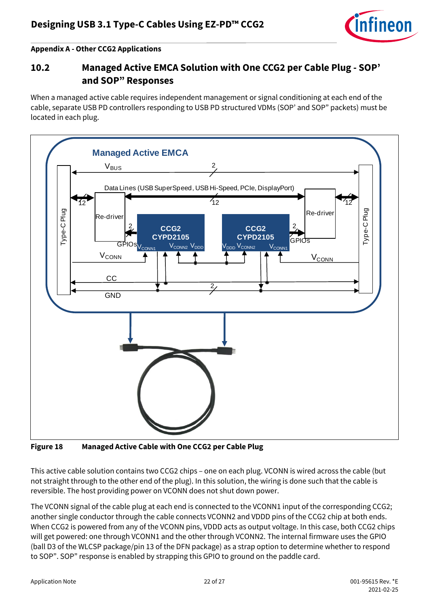

#### **Appendix A - Other CCG2 Applications**

## <span id="page-21-0"></span>**10.2 Managed Active EMCA Solution with One CCG2 per Cable Plug - SOP' and SOP" Responses**

When a managed active cable requires independent management or signal conditioning at each end of the cable, separate USB PD controllers responding to USB PD structured VDMs (SOP' and SOP" packets) must be located in each plug.



<span id="page-21-1"></span>**Figure 18 Managed Active Cable with One CCG2 per Cable Plug**

This active cable solution contains two CCG2 chips – one on each plug. VCONN is wired across the cable (but not straight through to the other end of the plug). In this solution, the wiring is done such that the cable is reversible. The host providing power on VCONN does not shut down power.

The VCONN signal of the cable plug at each end is connected to the VCONN1 input of the corresponding CCG2; another single conductor through the cable connects VCONN2 and VDDD pins of the CCG2 chip at both ends. When CCG2 is powered from any of the VCONN pins, VDDD acts as output voltage. In this case, both CCG2 chips will get powered: one through VCONN1 and the other through VCONN2. The internal firmware uses the GPIO (ball D3 of the WLCSP package/pin 13 of the DFN package) as a strap option to determine whether to respond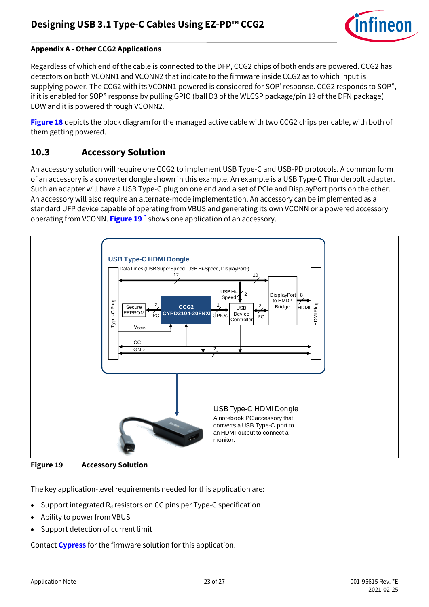

#### **Appendix A - Other CCG2 Applications**

Regardless of which end of the cable is connected to the DFP, CCG2 chips of both ends are powered. CCG2 has detectors on both VCONN1 and VCONN2 that indicate to the firmware inside CCG2 as to which input is supplying power. The CCG2 with its VCONN1 powered is considered for SOP' response. CCG2 responds to SOP", if it is enabled for SOP" response by pulling GPIO (ball D3 of the WLCSP package/pin 13 of the DFN package) LOW and it is powered through VCONN2.

**[Figure 18](#page-21-1)** depicts the block diagram for the managed active cable with two CCG2 chips per cable, with both of them getting powered.

### <span id="page-22-0"></span>**10.3 Accessory Solution**

An accessory solution will require one CCG2 to implement USB Type-C and USB-PD protocols. A common form of an accessory is a converter dongle shown in this example. An example is a USB Type-C Thunderbolt adapter. Such an adapter will have a USB Type-C plug on one end and a set of PCIe and DisplayPort ports on the other. An accessory will also require an alternate-mode implementation. An accessory can be implemented as a standard UFP device capable of operating from VBUS and generating its own VCONN or a powered accessory operating from VCONN. **[Figure 19](#page-22-1) `**shows one application of an accessory.



<span id="page-22-1"></span>**Figure 19 Accessory Solution**

The key application-level requirements needed for this application are:

- Support integrated  $R_d$  resistors on CC pins per Type-C specification
- Ability to power from VBUS
- Support detection of current limit

Contact **[Cypress](mailto:ccg2@cypress.com)** for the firmware solution for this application.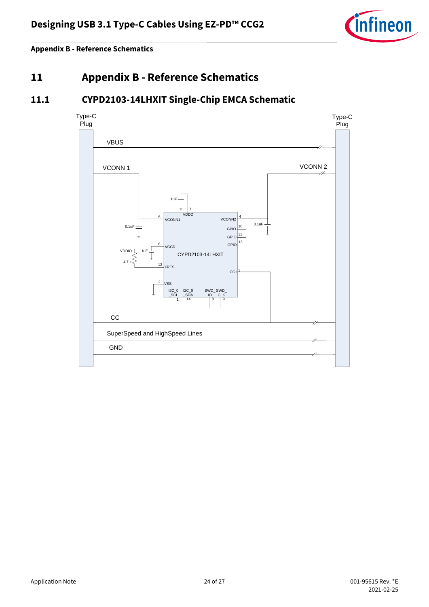

**Appendix B - Reference Schematics**

<span id="page-23-0"></span>**11 Appendix B - Reference Schematics**

## <span id="page-23-1"></span>**11.1 CYPD2103-14LHXIT Single-Chip EMCA Schematic**

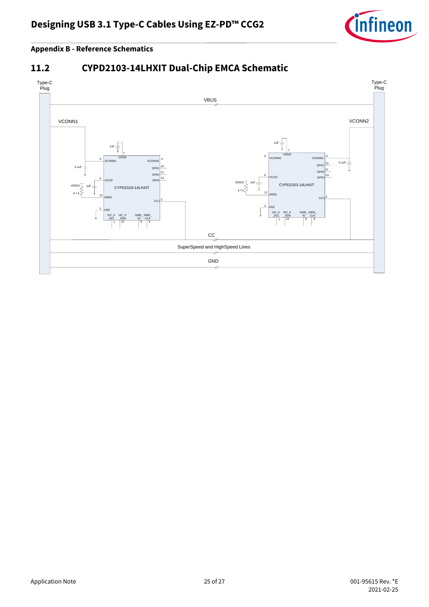

#### **Appendix B - Reference Schematics**

## <span id="page-24-0"></span>**11.2 CYPD2103-14LHXIT Dual-Chip EMCA Schematic**

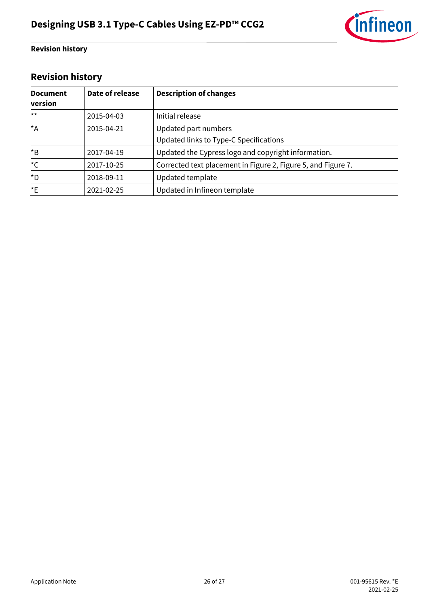

#### **Revision history**

## <span id="page-25-0"></span>**Revision history**

| <b>Document</b><br>version | Date of release | <b>Description of changes</b>                                  |
|----------------------------|-----------------|----------------------------------------------------------------|
| $***$                      | 2015-04-03      | Initial release                                                |
| $*_{A}$                    | 2015-04-21      | Updated part numbers<br>Updated links to Type-C Specifications |
| $*_{\mathsf{B}}$           | 2017-04-19      | Updated the Cypress logo and copyright information.            |
| ${}^{\star}C$              | 2017-10-25      | Corrected text placement in Figure 2, Figure 5, and Figure 7.  |
| *D                         | 2018-09-11      | Updated template                                               |
| $E^*$                      | 2021-02-25      | Updated in Infineon template                                   |